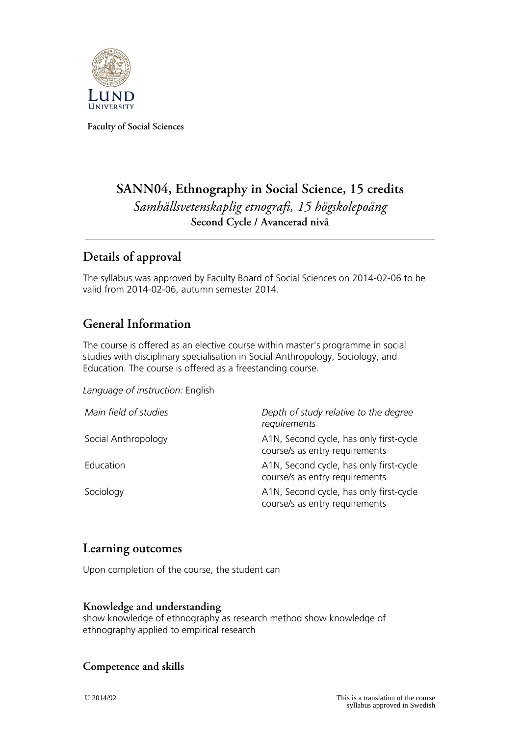

**Faculty of Social Sciences**

# **SANN04, Ethnography in Social Science, 15 credits** *Samhällsvetenskaplig etnografi, 15 högskolepoäng* **Second Cycle / Avancerad nivå**

## **Details of approval**

The syllabus was approved by Faculty Board of Social Sciences on 2014-02-06 to be valid from 2014-02-06, autumn semester 2014.

## **General Information**

The course is offered as an elective course within master's programme in social studies with disciplinary specialisation in Social Anthropology, Sociology, and Education. The course is offered as a freestanding course.

#### *Language of instruction:* English

| Main field of studies | Depth of study relative to the degree<br>requirements                     |
|-----------------------|---------------------------------------------------------------------------|
| Social Anthropology   | A1N, Second cycle, has only first-cycle<br>course/s as entry requirements |
| Education             | A1N, Second cycle, has only first-cycle<br>course/s as entry requirements |
| Sociology             | A1N, Second cycle, has only first-cycle<br>course/s as entry requirements |

### **Learning outcomes**

Upon completion of the course, the student can

#### **Knowledge and understanding**

show knowledge of ethnography as research method show knowledge of ethnography applied to empirical research

### **Competence and skills**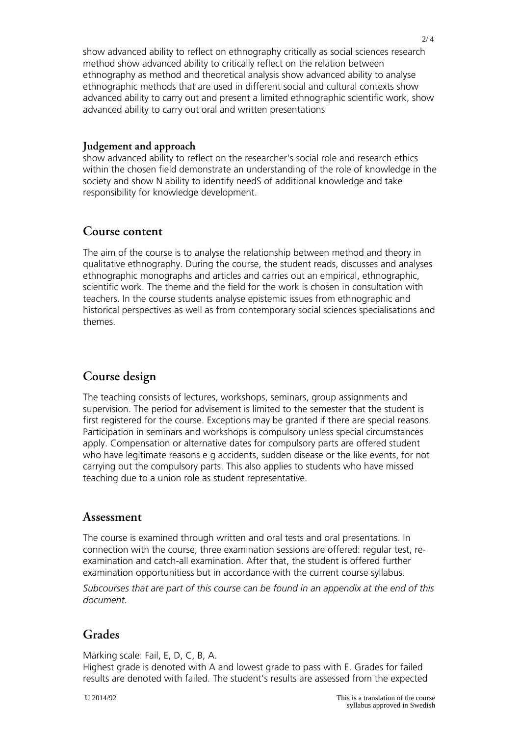show advanced ability to reflect on ethnography critically as social sciences research method show advanced ability to critically reflect on the relation between ethnography as method and theoretical analysis show advanced ability to analyse ethnographic methods that are used in different social and cultural contexts show advanced ability to carry out and present a limited ethnographic scientific work, show advanced ability to carry out oral and written presentations

#### **Judgement and approach**

show advanced ability to reflect on the researcher's social role and research ethics within the chosen field demonstrate an understanding of the role of knowledge in the society and show N ability to identify needS of additional knowledge and take responsibility for knowledge development.

### **Course content**

The aim of the course is to analyse the relationship between method and theory in qualitative ethnography. During the course, the student reads, discusses and analyses ethnographic monographs and articles and carries out an empirical, ethnographic, scientific work. The theme and the field for the work is chosen in consultation with teachers. In the course students analyse epistemic issues from ethnographic and historical perspectives as well as from contemporary social sciences specialisations and themes.

## **Course design**

The teaching consists of lectures, workshops, seminars, group assignments and supervision. The period for advisement is limited to the semester that the student is first registered for the course. Exceptions may be granted if there are special reasons. Participation in seminars and workshops is compulsory unless special circumstances apply. Compensation or alternative dates for compulsory parts are offered student who have legitimate reasons e g accidents, sudden disease or the like events, for not carrying out the compulsory parts. This also applies to students who have missed teaching due to a union role as student representative.

### **Assessment**

The course is examined through written and oral tests and oral presentations. In connection with the course, three examination sessions are offered: regular test, reexamination and catch-all examination. After that, the student is offered further examination opportunitiess but in accordance with the current course syllabus.

*Subcourses that are part of this course can be found in an appendix at the end of this document.*

## **Grades**

Marking scale: Fail, E, D, C, B, A.

Highest grade is denoted with A and lowest grade to pass with E. Grades for failed results are denoted with failed. The student's results are assessed from the expected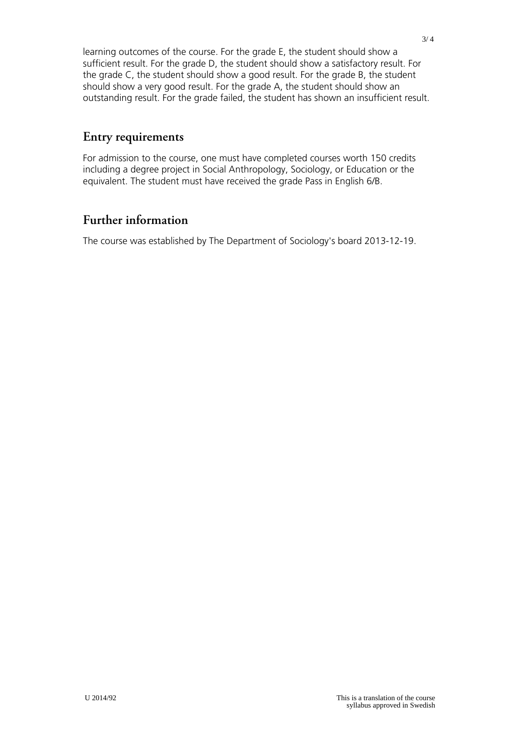learning outcomes of the course. For the grade E, the student should show a sufficient result. For the grade D, the student should show a satisfactory result. For the grade C, the student should show a good result. For the grade B, the student should show a very good result. For the grade A, the student should show an outstanding result. For the grade failed, the student has shown an insufficient result.

## **Entry requirements**

For admission to the course, one must have completed courses worth 150 credits including a degree project in Social Anthropology, Sociology, or Education or the equivalent. The student must have received the grade Pass in English 6/B.

## **Further information**

The course was established by The Department of Sociology's board 2013-12-19.